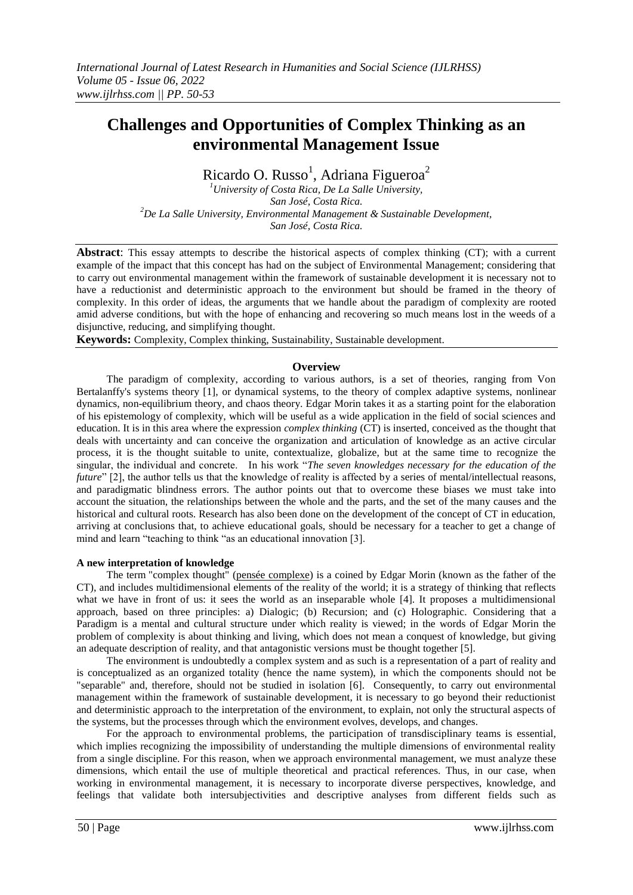# **Challenges and Opportunities of Complex Thinking as an environmental Management Issue**

Ricardo O. Russo<sup>1</sup>, Adriana Figueroa<sup>2</sup>

*<sup>1</sup>University of Costa Rica, De La Salle University, San José, Costa Rica. <sup>2</sup>De La Salle University, Environmental Management & Sustainable Development, San José, Costa Rica.* 

**Abstract**: This essay attempts to describe the historical aspects of complex thinking (CT); with a current example of the impact that this concept has had on the subject of Environmental Management; considering that to carry out environmental management within the framework of sustainable development it is necessary not to have a reductionist and deterministic approach to the environment but should be framed in the theory of complexity. In this order of ideas, the arguments that we handle about the paradigm of complexity are rooted amid adverse conditions, but with the hope of enhancing and recovering so much means lost in the weeds of a disjunctive, reducing, and simplifying thought.

**Keywords:** Complexity, Complex thinking, Sustainability, Sustainable development.

# **Overview**

The paradigm of complexity, according to various authors, is a set of theories, ranging from Von Bertalanffy's systems theory [1], or dynamical systems, to the theory of complex adaptive systems, nonlinear dynamics, non-equilibrium theory, and chaos theory. Edgar Morin takes it as a starting point for the elaboration of his epistemology of complexity, which will be useful as a wide application in the field of social sciences and education. It is in this area where the expression *complex thinking* (CT) is inserted, conceived as the thought that deals with uncertainty and can conceive the organization and articulation of knowledge as an active circular process, it is the thought suitable to unite, contextualize, globalize, but at the same time to recognize the singular, the individual and concrete. In his work "*The seven knowledges necessary for the education of the future*" [2], the author tells us that the knowledge of reality is affected by a series of mental/intellectual reasons, and paradigmatic blindness errors. The author points out that to overcome these biases we must take into account the situation, the relationships between the whole and the parts, and the set of the many causes and the historical and cultural roots. Research has also been done on the development of the concept of CT in education, arriving at conclusions that, to achieve educational goals, should be necessary for a teacher to get a change of mind and learn "teaching to think "as an educational innovation [3].

### **A new interpretation of knowledge**

The term "complex thought" [\(pensée](https://fr.wikipedia.org/wiki/Pens%C3%A9e_complexe) [complexe\)](https://fr.wikipedia.org/wiki/Pens%C3%A9e_complexe) is a coined by Edgar Morin (known as the father of the CT), and includes multidimensional elements of the reality of the world; it is a strategy of thinking that reflects what we have in front of us: it sees the world as an inseparable whole [4]. It proposes a multidimensional approach, based on three principles: a) Dialogic; (b) Recursion; and (c) Holographic. Considering that a Paradigm is a mental and cultural structure under which reality is viewed; in the words of Edgar Morin the problem of complexity is about thinking and living, which does not mean a conquest of knowledge, but giving an adequate description of reality, and that antagonistic versions must be thought together [5].

The environment is undoubtedly a complex system and as such is a representation of a part of reality and is conceptualized as an organized totality (hence the name system), in which the components should not be "separable" and, therefore, should not be studied in isolation [6]. Consequently, to carry out environmental management within the framework of sustainable development, it is necessary to go beyond their reductionist and deterministic approach to the interpretation of the environment, to explain, not only the structural aspects of the systems, but the processes through which the environment evolves, develops, and changes.

For the approach to environmental problems, the participation of transdisciplinary teams is essential, which implies recognizing the impossibility of understanding the multiple dimensions of environmental reality from a single discipline. For this reason, when we approach environmental management, we must analyze these dimensions, which entail the use of multiple theoretical and practical references. Thus, in our case, when working in environmental management, it is necessary to incorporate diverse perspectives, knowledge, and feelings that validate both intersubjectivities and descriptive analyses from different fields such as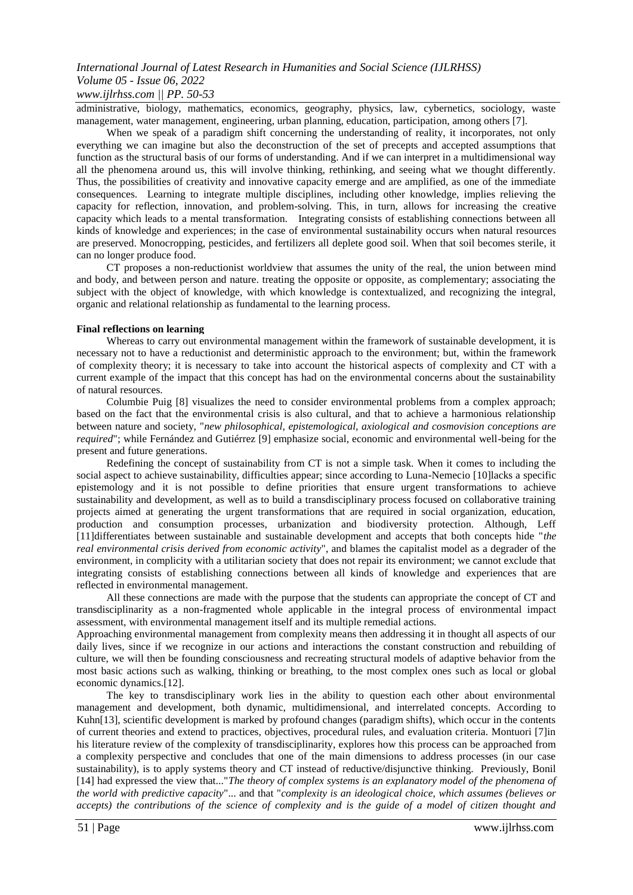# *International Journal of Latest Research in Humanities and Social Science (IJLRHSS) Volume 05 - Issue 06, 2022 www.ijlrhss.com || PP. 50-53*

administrative, biology, mathematics, economics, geography, physics, law, cybernetics, sociology, waste management, water management, engineering, urban planning, education, participation, among others [7].

When we speak of a paradigm shift concerning the understanding of reality, it incorporates, not only everything we can imagine but also the deconstruction of the set of precepts and accepted assumptions that function as the structural basis of our forms of understanding. And if we can interpret in a multidimensional way all the phenomena around us, this will involve thinking, rethinking, and seeing what we thought differently. Thus, the possibilities of creativity and innovative capacity emerge and are amplified, as one of the immediate consequences. Learning to integrate multiple disciplines, including other knowledge, implies relieving the capacity for reflection, innovation, and problem-solving. This, in turn, allows for increasing the creative capacity which leads to a mental transformation. Integrating consists of establishing connections between all kinds of knowledge and experiences; in the case of environmental sustainability occurs when natural resources are preserved. Monocropping, pesticides, and fertilizers all deplete good soil. When that soil becomes sterile, it can no longer produce food.

CT proposes a non-reductionist worldview that assumes the unity of the real, the union between mind and body, and between person and nature. treating the opposite or opposite, as complementary; associating the subject with the object of knowledge, with which knowledge is contextualized, and recognizing the integral, organic and relational relationship as fundamental to the learning process.

#### **Final reflections on learning**

Whereas to carry out environmental management within the framework of sustainable development, it is necessary not to have a reductionist and deterministic approach to the environment; but, within the framework of complexity theory; it is necessary to take into account the historical aspects of complexity and CT with a current example of the impact that this concept has had on the environmental concerns about the sustainability of natural resources.

Columbie Puig [8] visualizes the need to consider environmental problems from a complex approach; based on the fact that the environmental crisis is also cultural, and that to achieve a harmonious relationship between nature and society, "*new philosophical, epistemological, axiological and cosmovision conceptions are required*"; while Fernández and Gutiérrez [9] emphasize social, economic and environmental well-being for the present and future generations.

Redefining the concept of sustainability from CT is not a simple task. When it comes to including the social aspect to achieve sustainability, difficulties appear; since according to Luna-Nemecio [10]lacks a specific epistemology and it is not possible to define priorities that ensure urgent transformations to achieve sustainability and development, as well as to build a transdisciplinary process focused on collaborative training projects aimed at generating the urgent transformations that are required in social organization, education, production and consumption processes, urbanization and biodiversity protection. Although, Leff [11]differentiates between sustainable and sustainable development and accepts that both concepts hide "*the real environmental crisis derived from economic activity*", and blames the capitalist model as a degrader of the environment, in complicity with a utilitarian society that does not repair its environment; we cannot exclude that integrating consists of establishing connections between all kinds of knowledge and experiences that are reflected in environmental management.

All these connections are made with the purpose that the students can appropriate the concept of CT and transdisciplinarity as a non-fragmented whole applicable in the integral process of environmental impact assessment, with environmental management itself and its multiple remedial actions.

Approaching environmental management from complexity means then addressing it in thought all aspects of our daily lives, since if we recognize in our actions and interactions the constant construction and rebuilding of culture, we will then be founding consciousness and recreating structural models of adaptive behavior from the most basic actions such as walking, thinking or breathing, to the most complex ones such as local or global economic dynamics.[12].

The key to transdisciplinary work lies in the ability to question each other about environmental management and development, both dynamic, multidimensional, and interrelated concepts. According to Kuhn[13], scientific development is marked by profound changes (paradigm shifts), which occur in the contents of current theories and extend to practices, objectives, procedural rules, and evaluation criteria. Montuori [7]in his literature review of the complexity of transdisciplinarity, explores how this process can be approached from a complexity perspective and concludes that one of the main dimensions to address processes (in our case sustainability), is to apply systems theory and CT instead of reductive/disjunctive thinking. Previously, Bonil [14] had expressed the view that..."*The theory of complex systems is an explanatory model of the phenomena of the world with predictive capacity*"... and that "*complexity is an ideological choice, which assumes (believes or accepts) the contributions of the science of complexity and is the guide of a model of citizen thought and*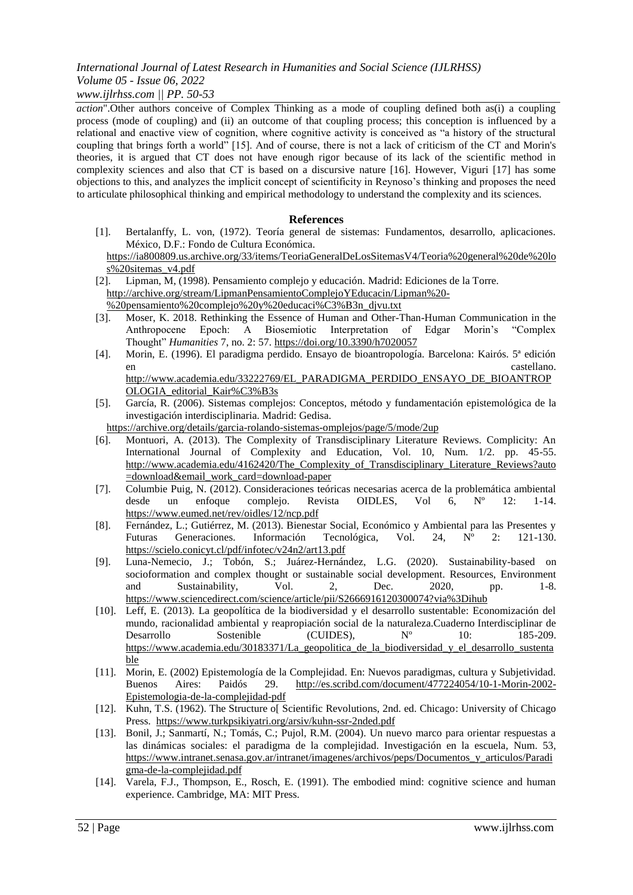# *International Journal of Latest Research in Humanities and Social Science (IJLRHSS) Volume 05 - Issue 06, 2022*

# *www.ijlrhss.com || PP. 50-53*

*action*".Other authors conceive of Complex Thinking as a mode of coupling defined both as(i) a coupling process (mode of coupling) and (ii) an outcome of that coupling process; this conception is influenced by a relational and enactive view of cognition, where cognitive activity is conceived as "a history of the structural coupling that brings forth a world" [15]. And of course, there is not a lack of criticism of the CT and Morin's theories, it is argued that CT does not have enough rigor because of its lack of the scientific method in complexity sciences and also that CT is based on a discursive nature [16]. However, Viguri [17] has some objections to this, and analyzes the implicit concept of scientificity in Reynoso's thinking and proposes the need to articulate philosophical thinking and empirical methodology to understand the complexity and its sciences.

## **References**

[1]. Bertalanffy, L. von, (1972). Teoría general de sistemas: Fundamentos, desarrollo, aplicaciones. México, D.F.: Fondo de Cultura Económica.

[https://ia800809.us.a](https://ia800809.us.archive.org/33/items/TeoriaGeneralDeLosSitemasV4/Teoria%20general%20de%20los%20sitemas_v4.pdf)rchiv[e.o](https://ia800809.us.archive.org/33/items/TeoriaGeneralDeLosSitemasV4/Teoria%20general%20de%20los%20sitemas_v4.pdf)r[g/33/i](https://ia800809.us.archive.org/33/items/TeoriaGeneralDeLosSitemasV4/Teoria%20general%20de%20los%20sitemas_v4.pdf)tem[s/T](https://ia800809.us.archive.org/33/items/TeoriaGeneralDeLosSitemasV4/Teoria%20general%20de%20los%20sitemas_v4.pdf)eoriaGeneralDeLosSitemas[V4/T](https://ia800809.us.archive.org/33/items/TeoriaGeneralDeLosSitemasV4/Teoria%20general%20de%20los%20sitemas_v4.pdf)eori[a%20g](https://ia800809.us.archive.org/33/items/TeoriaGeneralDeLosSitemasV4/Teoria%20general%20de%20los%20sitemas_v4.pdf)enera[l%20de%20lo](https://ia800809.us.archive.org/33/items/TeoriaGeneralDeLosSitemasV4/Teoria%20general%20de%20los%20sitemas_v4.pdf) [s%20s](https://ia800809.us.archive.org/33/items/TeoriaGeneralDeLosSitemasV4/Teoria%20general%20de%20los%20sitemas_v4.pdf)itema[s\\_v4.pdf](https://ia800809.us.archive.org/33/items/TeoriaGeneralDeLosSitemasV4/Teoria%20general%20de%20los%20sitemas_v4.pdf)

- [2]. Lipman, M, (1998). Pensamiento complejo y educación. Madrid: Ediciones de la Torre. [http://a](http://archive.org/stream/LipmanPensamientoComplejoYEducacin/Lipman%20-%20pensamiento%20complejo%20y%20educaci%C3%B3n_djvu.txt)rchiv[e.o](http://archive.org/stream/LipmanPensamientoComplejoYEducacin/Lipman%20-%20pensamiento%20complejo%20y%20educaci%C3%B3n_djvu.txt)r[g/s](http://archive.org/stream/LipmanPensamientoComplejoYEducacin/Lipman%20-%20pensamiento%20complejo%20y%20educaci%C3%B3n_djvu.txt)trea[m/L](http://archive.org/stream/LipmanPensamientoComplejoYEducacin/Lipman%20-%20pensamiento%20complejo%20y%20educaci%C3%B3n_djvu.txt)ipmanPensamientoComplejoYEducaci[n/L](http://archive.org/stream/LipmanPensamientoComplejoYEducacin/Lipman%20-%20pensamiento%20complejo%20y%20educaci%C3%B3n_djvu.txt)ipma[n%20-](http://archive.org/stream/LipmanPensamientoComplejoYEducacin/Lipman%20-%20pensamiento%20complejo%20y%20educaci%C3%B3n_djvu.txt)
- %2[0p](http://archive.org/stream/LipmanPensamientoComplejoYEducacin/Lipman%20-%20pensamiento%20complejo%20y%20educaci%C3%B3n_djvu.txt)ensamient[o%20c](http://archive.org/stream/LipmanPensamientoComplejoYEducacin/Lipman%20-%20pensamiento%20complejo%20y%20educaci%C3%B3n_djvu.txt)omplej[o%20y%20e](http://archive.org/stream/LipmanPensamientoComplejoYEducacin/Lipman%20-%20pensamiento%20complejo%20y%20educaci%C3%B3n_djvu.txt)ducac[i%C3%B3n\\_d](http://archive.org/stream/LipmanPensamientoComplejoYEducacin/Lipman%20-%20pensamiento%20complejo%20y%20educaci%C3%B3n_djvu.txt)jv[u.txt](http://archive.org/stream/LipmanPensamientoComplejoYEducacin/Lipman%20-%20pensamiento%20complejo%20y%20educaci%C3%B3n_djvu.txt)
- [3]. Moser, K. 2018. Rethinking the Essence of Human and Other-Than-Human Communication in the Anthropocene Epoch: A Biosemiotic Interpretation of Edgar Morin's "Complex Thought" *Humanities* 7, no. 2: 57. [https://d](https://doi.org/10.3390/h7020057)o[i.o](https://doi.org/10.3390/h7020057)r[g/10.3390/h7020057](https://doi.org/10.3390/h7020057)
- [4]. Morin, E. (1996). El paradigma perdido. Ensayo de bioantropología. Barcelona: Kairós. 5ª edición en castellano. Castellano. Castellano. Castellano. Castellano. Castellano. Castellano. Castellano. Castellano. [http://w](http://www.academia.edu/33222769/EL_PARADIGMA_PERDIDO_ENSAYO_DE_BIOANTROPOLOGIA_editorial_Kair%C3%B3s)w[w.a](http://www.academia.edu/33222769/EL_PARADIGMA_PERDIDO_ENSAYO_DE_BIOANTROPOLOGIA_editorial_Kair%C3%B3s)cademi[a.e](http://www.academia.edu/33222769/EL_PARADIGMA_PERDIDO_ENSAYO_DE_BIOANTROPOLOGIA_editorial_Kair%C3%B3s)d[u/33222769/EL\\_P](http://www.academia.edu/33222769/EL_PARADIGMA_PERDIDO_ENSAYO_DE_BIOANTROPOLOGIA_editorial_Kair%C3%B3s)ARADIGM[A\\_P](http://www.academia.edu/33222769/EL_PARADIGMA_PERDIDO_ENSAYO_DE_BIOANTROPOLOGIA_editorial_Kair%C3%B3s)ERDID[O\\_E](http://www.academia.edu/33222769/EL_PARADIGMA_PERDIDO_ENSAYO_DE_BIOANTROPOLOGIA_editorial_Kair%C3%B3s)NSAY[O\\_DE\\_BIOANTROP](http://www.academia.edu/33222769/EL_PARADIGMA_PERDIDO_ENSAYO_DE_BIOANTROPOLOGIA_editorial_Kair%C3%B3s)
- [OLOGIA\\_e](http://www.academia.edu/33222769/EL_PARADIGMA_PERDIDO_ENSAYO_DE_BIOANTROPOLOGIA_editorial_Kair%C3%B3s)ditoria[l\\_K](http://www.academia.edu/33222769/EL_PARADIGMA_PERDIDO_ENSAYO_DE_BIOANTROPOLOGIA_editorial_Kair%C3%B3s)ai[r%C3%B3s](http://www.academia.edu/33222769/EL_PARADIGMA_PERDIDO_ENSAYO_DE_BIOANTROPOLOGIA_editorial_Kair%C3%B3s) [5]. García, R. (2006). Sistemas complejos: Conceptos, método y fundamentación epistemológica de la investigación interdisciplinaria. Madrid: Gedisa.

[https://a](https://archive.org/details/garcia-rolando-sistemas-omplejos/page/5/mode/2up)rchiv[e.o](https://archive.org/details/garcia-rolando-sistemas-omplejos/page/5/mode/2up)r[g/d](https://archive.org/details/garcia-rolando-sistemas-omplejos/page/5/mode/2up)etail[s/g](https://archive.org/details/garcia-rolando-sistemas-omplejos/page/5/mode/2up)arci[a-r](https://archive.org/details/garcia-rolando-sistemas-omplejos/page/5/mode/2up)oland[o-s](https://archive.org/details/garcia-rolando-sistemas-omplejos/page/5/mode/2up)istema[s-o](https://archive.org/details/garcia-rolando-sistemas-omplejos/page/5/mode/2up)mplejo[s/p](https://archive.org/details/garcia-rolando-sistemas-omplejos/page/5/mode/2up)ag[e/5/m](https://archive.org/details/garcia-rolando-sistemas-omplejos/page/5/mode/2up)od[e/2up](https://archive.org/details/garcia-rolando-sistemas-omplejos/page/5/mode/2up)

- [6]. Montuori, A. (2013). The Complexity of Transdisciplinary Literature Reviews. Complicity: An International Journal of Complexity and Education, Vol. 10, Num. 1/2. pp. 45-55. [http://w](http://www.academia.edu/4162420/The_Complexity_of_Transdisciplinary_Literature_Reviews?auto=download&email_work_card=download-paper)w[w.a](http://www.academia.edu/4162420/The_Complexity_of_Transdisciplinary_Literature_Reviews?auto=download&email_work_card=download-paper)cademi[a.e](http://www.academia.edu/4162420/The_Complexity_of_Transdisciplinary_Literature_Reviews?auto=download&email_work_card=download-paper)d[u/4162420/T](http://www.academia.edu/4162420/The_Complexity_of_Transdisciplinary_Literature_Reviews?auto=download&email_work_card=download-paper)h[e\\_C](http://www.academia.edu/4162420/The_Complexity_of_Transdisciplinary_Literature_Reviews?auto=download&email_work_card=download-paper)omplexit[y\\_of\\_T](http://www.academia.edu/4162420/The_Complexity_of_Transdisciplinary_Literature_Reviews?auto=download&email_work_card=download-paper)ransdisciplinar[y\\_L](http://www.academia.edu/4162420/The_Complexity_of_Transdisciplinary_Literature_Reviews?auto=download&email_work_card=download-paper)iteratur[e\\_R](http://www.academia.edu/4162420/The_Complexity_of_Transdisciplinary_Literature_Reviews?auto=download&email_work_card=download-paper)eview[s?auto](http://www.academia.edu/4162420/The_Complexity_of_Transdisciplinary_Literature_Reviews?auto=download&email_work_card=download-paper) [=d](http://www.academia.edu/4162420/The_Complexity_of_Transdisciplinary_Literature_Reviews?auto=download&email_work_card=download-paper)ownloa[d&e](http://www.academia.edu/4162420/The_Complexity_of_Transdisciplinary_Literature_Reviews?auto=download&email_work_card=download-paper)mai[l\\_w](http://www.academia.edu/4162420/The_Complexity_of_Transdisciplinary_Literature_Reviews?auto=download&email_work_card=download-paper)or[k\\_c](http://www.academia.edu/4162420/The_Complexity_of_Transdisciplinary_Literature_Reviews?auto=download&email_work_card=download-paper)ar[d=d](http://www.academia.edu/4162420/The_Complexity_of_Transdisciplinary_Literature_Reviews?auto=download&email_work_card=download-paper)ownloa[d-paper](http://www.academia.edu/4162420/The_Complexity_of_Transdisciplinary_Literature_Reviews?auto=download&email_work_card=download-paper)
- [7]. Columbie Puig, N. (2012). Consideraciones teóricas necesarias acerca de la problemática ambiental desde un enfoque complejo. Revista OIDLES, Vol 6, Nº 12: 1-14. [https://w](https://www.eumed.net/rev/oidles/12/ncp.pdf)w[w.e](https://www.eumed.net/rev/oidles/12/ncp.pdf)ume[d.n](https://www.eumed.net/rev/oidles/12/ncp.pdf)e[t/r](https://www.eumed.net/rev/oidles/12/ncp.pdf)e[v/o](https://www.eumed.net/rev/oidles/12/ncp.pdf)idle[s/12/n](https://www.eumed.net/rev/oidles/12/ncp.pdf)c[p.pdf](https://www.eumed.net/rev/oidles/12/ncp.pdf)
- [8]. Fernández, L.; Gutiérrez, M. (2013). Bienestar Social, Económico y Ambiental para las Presentes y Futuras Generaciones. Información Tecnológica, Vol. 24, Nº 2: 121-130. [https://s](https://scielo.conicyt.cl/pdf/infotec/v24n2/art13.pdf)ciel[o.c](https://scielo.conicyt.cl/pdf/infotec/v24n2/art13.pdf)onicy[t.cl/p](https://scielo.conicyt.cl/pdf/infotec/v24n2/art13.pdf)d[f/i](https://scielo.conicyt.cl/pdf/infotec/v24n2/art13.pdf)nfote[c/v24n2/a](https://scielo.conicyt.cl/pdf/infotec/v24n2/art13.pdf)r[t13.pdf](https://scielo.conicyt.cl/pdf/infotec/v24n2/art13.pdf)
- [9]. Luna-Nemecio, J.; Tobón, S.; Juárez-Hernández, L.G. (2020). Sustainability-based on socioformation and complex thought or sustainable social development. Resources, Environment and Sustainability, Vol. 2, Dec. 2020, pp. 1-8. [https://w](https://www.sciencedirect.com/science/article/pii/S2666916120300074?via%3Dihub)w[w.s](https://www.sciencedirect.com/science/article/pii/S2666916120300074?via%3Dihub)ciencedirec[t.c](https://www.sciencedirect.com/science/article/pii/S2666916120300074?via%3Dihub)o[m/s](https://www.sciencedirect.com/science/article/pii/S2666916120300074?via%3Dihub)cienc[e/a](https://www.sciencedirect.com/science/article/pii/S2666916120300074?via%3Dihub)rticl[e/p](https://www.sciencedirect.com/science/article/pii/S2666916120300074?via%3Dihub)i[i/S2666916120300074?v](https://www.sciencedirect.com/science/article/pii/S2666916120300074?via%3Dihub)i[a%3Dihub](https://www.sciencedirect.com/science/article/pii/S2666916120300074?via%3Dihub)
- [10]. Leff, E. (2013). La geopolítica de la biodiversidad y el desarrollo sustentable: Economización del mundo, racionalidad ambiental y reapropiación social de la naturaleza.Cuaderno Interdisciplinar de Desarrollo Sostenible (CUIDES),  $N^{\circ}$  10: 185-209. [https://w](https://www.academia.edu/30183371/La_geopolitica_de_la_biodiversidad_y_el_desarrollo_sustentable)w[w.a](https://www.academia.edu/30183371/La_geopolitica_de_la_biodiversidad_y_el_desarrollo_sustentable)cademi[a.e](https://www.academia.edu/30183371/La_geopolitica_de_la_biodiversidad_y_el_desarrollo_sustentable)d[u/30183371/La\\_g](https://www.academia.edu/30183371/La_geopolitica_de_la_biodiversidad_y_el_desarrollo_sustentable)eopolitic[a\\_de\\_la\\_b](https://www.academia.edu/30183371/La_geopolitica_de_la_biodiversidad_y_el_desarrollo_sustentable)iodiversida[d\\_y\\_el\\_d](https://www.academia.edu/30183371/La_geopolitica_de_la_biodiversidad_y_el_desarrollo_sustentable)esarroll[o\\_sustenta](https://www.academia.edu/30183371/La_geopolitica_de_la_biodiversidad_y_el_desarrollo_sustentable) [ble](https://www.academia.edu/30183371/La_geopolitica_de_la_biodiversidad_y_el_desarrollo_sustentable)
- [11]. Morin, E. (2002) Epistemología de la Complejidad. En: Nuevos paradigmas, cultura y Subjetividad. Buenos Aires: Paidós 29. [http://es.s](http://es.scribd.com/document/477224054/10-1-Morin-2002-Epistemologia-de-la-complejidad-pdf)crib[d.c](http://es.scribd.com/document/477224054/10-1-Morin-2002-Epistemologia-de-la-complejidad-pdf)o[m/document/477224054/10-1-M](http://es.scribd.com/document/477224054/10-1-Morin-2002-Epistemologia-de-la-complejidad-pdf)ori[n-2002-](http://es.scribd.com/document/477224054/10-1-Morin-2002-Epistemologia-de-la-complejidad-pdf) [Epistemologia-de-la-c](http://es.scribd.com/document/477224054/10-1-Morin-2002-Epistemologia-de-la-complejidad-pdf)omplejida[d-pdf](http://es.scribd.com/document/477224054/10-1-Morin-2002-Epistemologia-de-la-complejidad-pdf)
- [12]. Kuhn, T.S. (1962). The Structure o[ Scientific Revolutions, 2nd. ed. Chicago: University of Chicago Press. [https://w](https://www.turkpsikiyatri.org/arsiv/kuhn-ssr-2nded.pdf)w[w.t](https://www.turkpsikiyatri.org/arsiv/kuhn-ssr-2nded.pdf)urkpsikiyatr[i.o](https://www.turkpsikiyatri.org/arsiv/kuhn-ssr-2nded.pdf)r[g/a](https://www.turkpsikiyatri.org/arsiv/kuhn-ssr-2nded.pdf)rsi[v/k](https://www.turkpsikiyatri.org/arsiv/kuhn-ssr-2nded.pdf)uh[n-s](https://www.turkpsikiyatri.org/arsiv/kuhn-ssr-2nded.pdf)s[r-2n](https://www.turkpsikiyatri.org/arsiv/kuhn-ssr-2nded.pdf)de[d.pdf](https://www.turkpsikiyatri.org/arsiv/kuhn-ssr-2nded.pdf)
- [13]. Bonil, J.; Sanmartí, N.; Tomás, C.; Pujol, R.M. (2004). Un nuevo marco para orientar respuestas a las dinámicas sociales: el paradigma de la complejidad. Investigación en la escuela, Num. 53, [https://w](https://www.intranet.senasa.gov.ar/intranet/imagenes/archivos/peps/Documentos_y_articulos/Paradigma-de-la-complejidad.pdf)w[w.i](https://www.intranet.senasa.gov.ar/intranet/imagenes/archivos/peps/Documentos_y_articulos/Paradigma-de-la-complejidad.pdf)ntrane[t.s](https://www.intranet.senasa.gov.ar/intranet/imagenes/archivos/peps/Documentos_y_articulos/Paradigma-de-la-complejidad.pdf)enas[a.g](https://www.intranet.senasa.gov.ar/intranet/imagenes/archivos/peps/Documentos_y_articulos/Paradigma-de-la-complejidad.pdf)o[v.ar/i](https://www.intranet.senasa.gov.ar/intranet/imagenes/archivos/peps/Documentos_y_articulos/Paradigma-de-la-complejidad.pdf)ntrane[t/i](https://www.intranet.senasa.gov.ar/intranet/imagenes/archivos/peps/Documentos_y_articulos/Paradigma-de-la-complejidad.pdf)magene[s/archivos/p](https://www.intranet.senasa.gov.ar/intranet/imagenes/archivos/peps/Documentos_y_articulos/Paradigma-de-la-complejidad.pdf)ep[s/D](https://www.intranet.senasa.gov.ar/intranet/imagenes/archivos/peps/Documentos_y_articulos/Paradigma-de-la-complejidad.pdf)ocumento[s\\_y\\_a](https://www.intranet.senasa.gov.ar/intranet/imagenes/archivos/peps/Documentos_y_articulos/Paradigma-de-la-complejidad.pdf)rticulo[s/Paradi](https://www.intranet.senasa.gov.ar/intranet/imagenes/archivos/peps/Documentos_y_articulos/Paradigma-de-la-complejidad.pdf) [gma-de-la-c](https://www.intranet.senasa.gov.ar/intranet/imagenes/archivos/peps/Documentos_y_articulos/Paradigma-de-la-complejidad.pdf)omplejida[d.pdf](https://www.intranet.senasa.gov.ar/intranet/imagenes/archivos/peps/Documentos_y_articulos/Paradigma-de-la-complejidad.pdf)
- [14]. Varela, F.J., Thompson, E., Rosch, E. (1991). The embodied mind: cognitive science and human experience. Cambridge, MA: MIT Press.